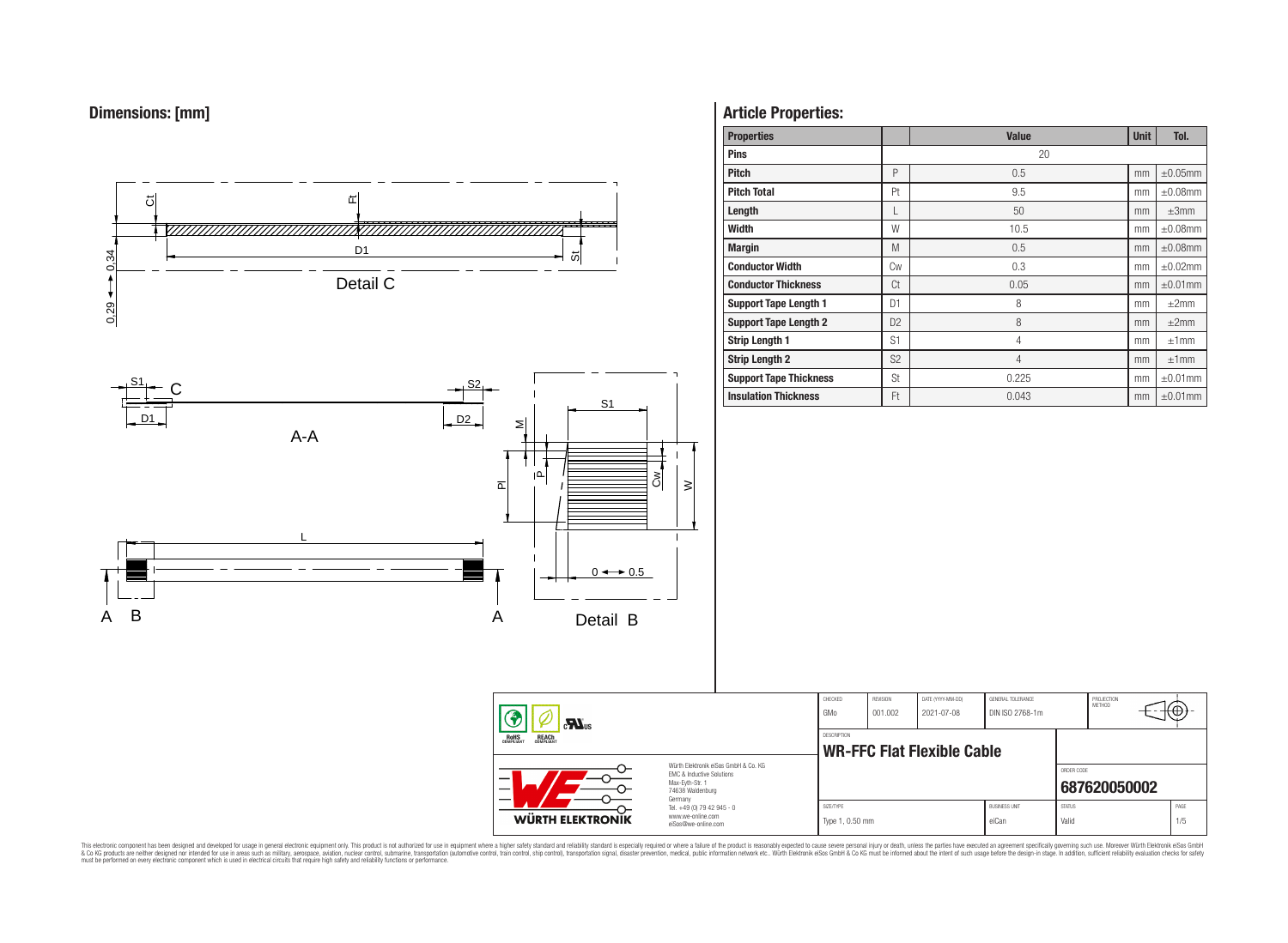



# **Article Properties:**

| <b>Properties</b>             |                | <b>Value</b>   | <b>Unit</b> | Tol.          |
|-------------------------------|----------------|----------------|-------------|---------------|
| <b>Pins</b>                   |                | 20             |             |               |
| <b>Pitch</b>                  | P              | 0.5            | mm          | $\pm 0.05$ mm |
| <b>Pitch Total</b>            | Pt             | 9.5            | mm          | $\pm 0.08$ mm |
| Length                        |                | 50             | mm          | $\pm 3$ mm    |
| <b>Width</b>                  | W              | 10.5           | mm          | $\pm 0.08$ mm |
| <b>Margin</b>                 | M              | 0.5            | mm          | $\pm 0.08$ mm |
| <b>Conductor Width</b>        | <b>Cw</b>      | 0.3            | mm          | $\pm 0.02$ mm |
| <b>Conductor Thickness</b>    | Ct             | 0.05           | mm          | $\pm 0.01$ mm |
| <b>Support Tape Length 1</b>  | D <sub>1</sub> | 8              | mm          | $\pm 2$ mm    |
| <b>Support Tape Length 2</b>  | D <sub>2</sub> | 8              | mm          | ±2mm          |
| <b>Strip Length 1</b>         | S <sub>1</sub> | $\overline{4}$ | mm          | ±1mm          |
| <b>Strip Length 2</b>         | S <sub>2</sub> | $\overline{4}$ | mm          | ±1mm          |
| <b>Support Tape Thickness</b> | St             | 0.225          | mm          | $\pm 0.01$ mm |
| <b>Insulation Thickness</b>   | Ft             | 0.043          | mm          | $\pm 0.01$ mm |

| $\sum_{s}$                                                                                                    |  | CHECKED<br>GMo                                                                    | REVISION<br>001.002                              | DATE (YYYY-MM-DD)<br>2021-07-08 | GENERAL TOLERANCE<br>DIN ISO 2768-1m |                                                         | PROJECTION<br>METHOD |  |             |  |
|---------------------------------------------------------------------------------------------------------------|--|-----------------------------------------------------------------------------------|--------------------------------------------------|---------------------------------|--------------------------------------|---------------------------------------------------------|----------------------|--|-------------|--|
| ROHS<br>COMPLIANT<br><b>REACH</b><br>COMPLIANT                                                                |  |                                                                                   | DESCRIPTION<br><b>WR-FFC Flat Flexible Cable</b> |                                 |                                      |                                                         |                      |  |             |  |
| Würth Elektronik eiSos GmbH & Co. KG<br>FMC & Inductive Solutions<br>—<br>Max-Eyth-Str. 1<br>74638 Waldenburg |  |                                                                                   |                                                  |                                 |                                      | ORDER CODE                                              | 687620050002         |  |             |  |
| <b>WÜRTH ELEKTRONIK</b>                                                                                       |  | Germany<br>Tel. +49 (0) 79 42 945 - 0<br>www.we-online.com<br>eiSos@we-online.com |                                                  | SIZE/TYPE<br>Type 1, 0.50 mm    |                                      | <b>BUSINESS UNIT</b><br><b>STATUS</b><br>eiCan<br>Valid |                      |  | PAGE<br>1/5 |  |

This electronic component has been designed and developed for usage in general electronic equipment only. This product is not authorized for subserved requipment where a higher selection equipment where a higher selection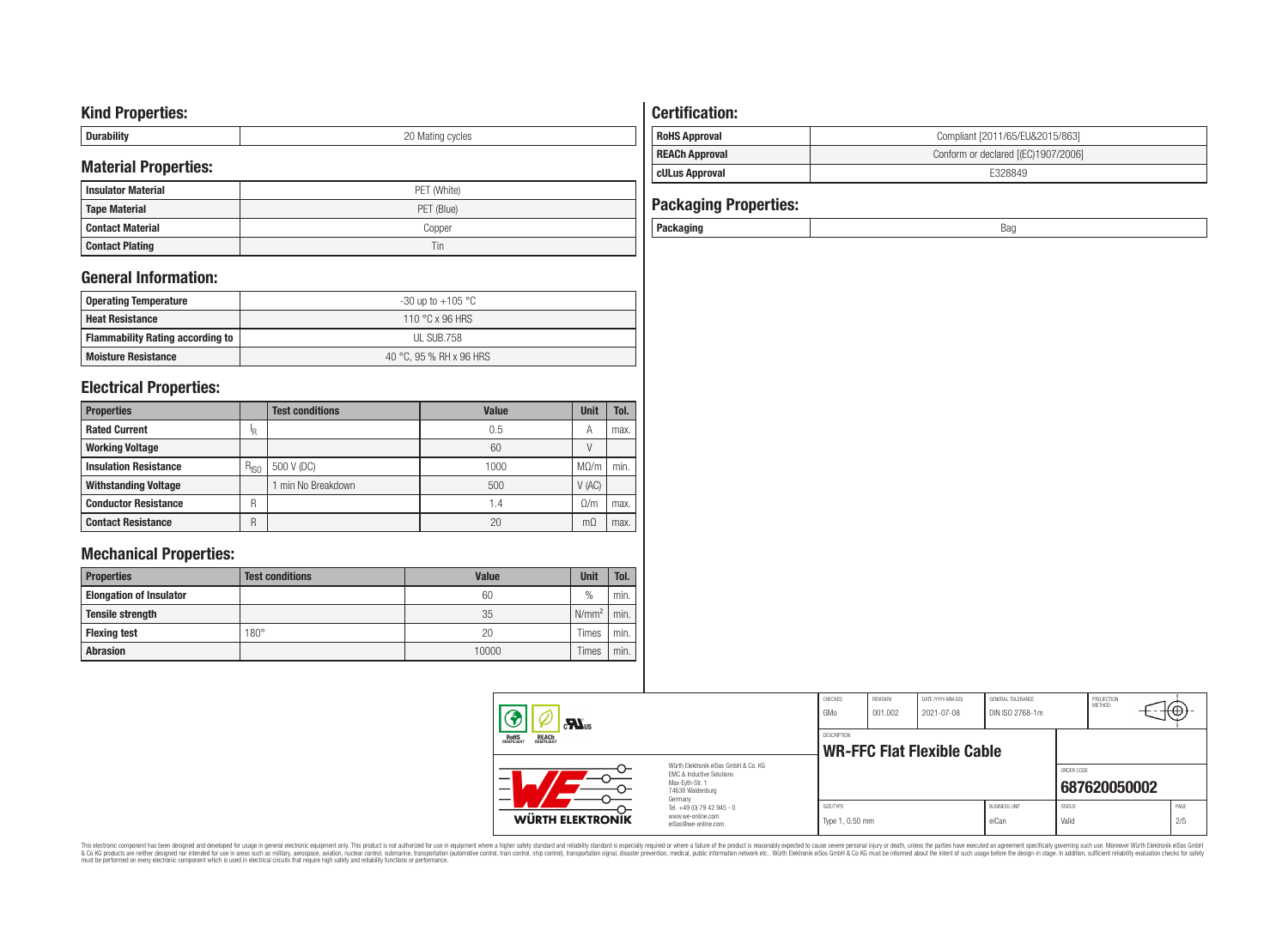# **Kind Properties:**

| .<br>---------<br>- | ∩∩<br>M/21<br>≏ycles<br>◡ |
|---------------------|---------------------------|

## **Material Properties:**

| <b>Insulator Material</b> | PET (White) |
|---------------------------|-------------|
| <b>Tape Material</b>      | PET (Blue)  |
| Contact Material          | Copper      |
| <b>Contact Plating</b>    | Tin         |

## **General Information:**

| <b>Operating Temperature</b>            | -30 up to +105 °C       |
|-----------------------------------------|-------------------------|
| <b>Heat Resistance</b>                  | 110 °C x 96 HRS         |
| <b>Flammability Rating according to</b> | UL SUB.758              |
| <b>Moisture Resistance</b>              | 40 °C. 95 % RH x 96 HRS |

## **Electrical Properties:**

| <b>Properties</b>            |           | <b>Test conditions</b> | <b>Value</b>    | <b>Unit</b> | Tol. |
|------------------------------|-----------|------------------------|-----------------|-------------|------|
| <b>Rated Current</b>         | ΙR        |                        | 0.5             | А           | max. |
| <b>Working Voltage</b>       |           |                        | 60              |             |      |
| <b>Insulation Resistance</b> | $R_{ISO}$ | 500 V (DC)             | 1000            | $M\Omega/m$ | min. |
| <b>Withstanding Voltage</b>  |           | min No Breakdown       | 500             | V(AC)       |      |
| <b>Conductor Resistance</b>  | R         |                        | $\mathsf{I}$ .4 | 0/m         | max. |
| <b>Contact Resistance</b>    | R         |                        | 20              | mΩ          | max. |

# **Mechanical Properties:**

| <b>Properties</b>              | <b>Test conditions</b> | <b>Value</b> | <b>Unit</b>   | Tol. |
|--------------------------------|------------------------|--------------|---------------|------|
| <b>Elongation of Insulator</b> |                        | 60           | $\frac{0}{0}$ | min. |
| <b>Tensile strength</b>        |                        | 35           | $N/mm^2$      | min. |
| <b>Flexing test</b>            | $180^\circ$            | 20           | Times         | min. |
| <b>Abrasion</b>                |                        | 10000        | Times         | min. |

## **Certification: RoHS Approval RoHS Approval Compliant [2011/65/EU&2015/863] REACh Approval REACh Approval Conform or declared [(EC)1907/2006] cULus Approval** E328849

| <b>Packaging Properties:</b> |     |
|------------------------------|-----|
| Packaging                    | Bao |

| $\mathbf{M}_{\text{us}}$<br>ROHS<br>COMPLIANT<br><b>REACH</b><br>COMPLIANT |                                                                                                          | CHECKED<br>GMo                                          | REVISION<br>001.002 | DATE (YYYY-MM-DD)<br>2021-07-08 | GENERAL TOLERANCE<br>DIN ISO 2768-1m |                        | PROJECTION<br>METHOD | ₩Ψ          |
|----------------------------------------------------------------------------|----------------------------------------------------------------------------------------------------------|---------------------------------------------------------|---------------------|---------------------------------|--------------------------------------|------------------------|----------------------|-------------|
|                                                                            |                                                                                                          | <b>DESCRIPTION</b><br><b>WR-FFC Flat Flexible Cable</b> |                     |                                 |                                      |                        |                      |             |
|                                                                            | Würth Flektronik eiSos GmbH & Co. KG<br>EMC & Inductive Solutions<br>Max-Eyth-Str. 1<br>74638 Waldenburg |                                                         |                     |                                 |                                      | ORDER CODE             | 687620050002         |             |
| <b>WÜRTH ELEKTRONIK</b>                                                    | Germany<br>Tel. +49 (0) 79 42 945 - 0<br>www.we-online.com<br>eiSos@we-online.com                        | SIZE/TYPE<br>Type 1, 0.50 mm                            |                     |                                 | <b>BLISINESS LINIT</b><br>eiCan      | <b>STATUS</b><br>Valid |                      | PAGE<br>2/5 |

This electronic component has been designed and developed for usage in general electronic equipment only. This product is not authorized for subserved requipment where a higher selection equipment where a higher selection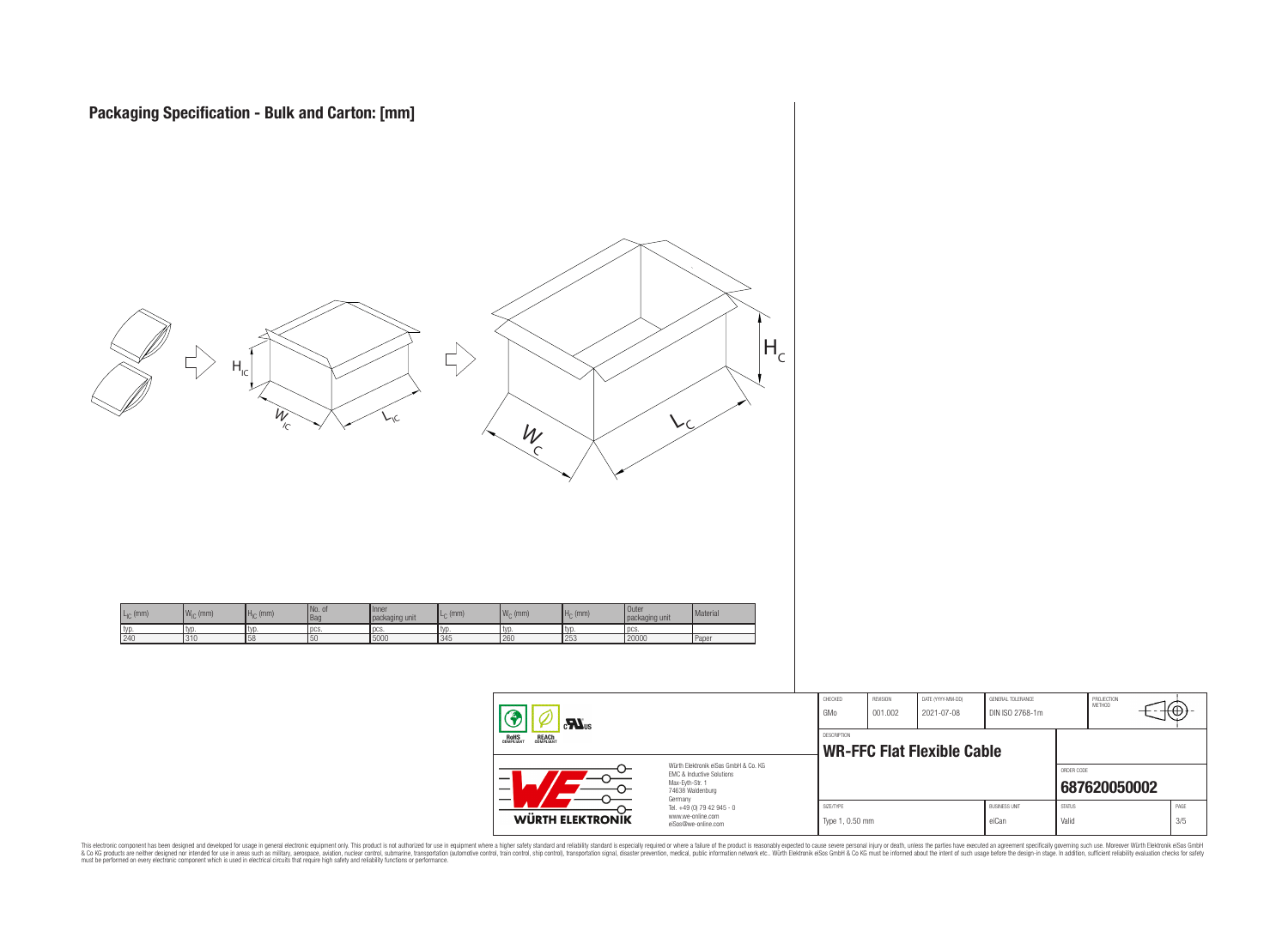

 $\equiv$ 

| <b>WÜRTH ELEKTRONIK</b>                                                                                                        | Tel. +49 (0) 79 42 945 - 0<br>www.we-online.com<br>eiSos@we-online.com | SIZE/TYPE<br>Type 1, 0.50 mm |                                   |                                 | <b>BUSINESS UNIT</b><br>eiCan        | <b>STATUS</b><br>Valid |                             | PAGE<br>3/5 |
|--------------------------------------------------------------------------------------------------------------------------------|------------------------------------------------------------------------|------------------------------|-----------------------------------|---------------------------------|--------------------------------------|------------------------|-----------------------------|-------------|
| Würth Elektronik eiSos GmbH & Co. KG<br><b>EMC &amp; Inductive Solutions</b><br>Max-Evth-Str. 1<br>74638 Waldenburg<br>Germany |                                                                        |                              |                                   |                                 | ORDER CODE                           | 687620050002           |                             |             |
| OHS<br>Pliant<br><b>REACH</b><br>COMPLIANT                                                                                     | DESCRIPTION                                                            |                              | <b>WR-FFC Flat Flexible Cable</b> |                                 |                                      |                        |                             |             |
| Ð<br>$\sum_{s}$                                                                                                                |                                                                        | CHECKED<br>GMo               | REVISION<br>001.002               | DATE (YYYY-MM-DD)<br>2021-07-08 | GENERAL TOLERANCE<br>DIN ISO 2768-1m |                        | PROJECTION<br><b>METHOD</b> | π⊕+−        |

This electronic component has been designed and developed for usage in general electronic equipment only. This product is not authorized for subserved requipment where a higher selection equipment where a higher selection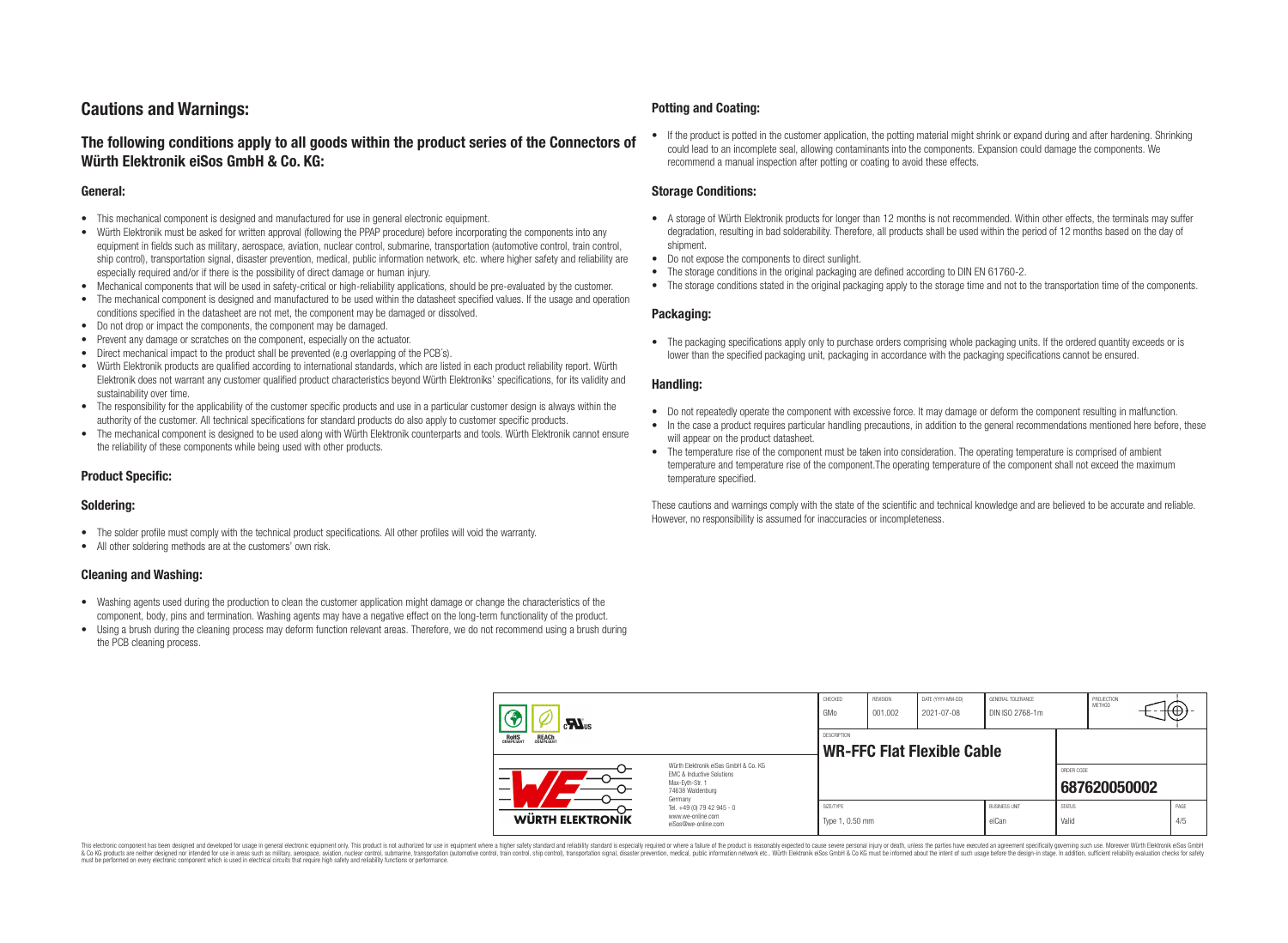# **Cautions and Warnings:**

## **The following conditions apply to all goods within the product series of the Connectors of Würth Elektronik eiSos GmbH & Co. KG:**

#### **General:**

- This mechanical component is designed and manufactured for use in general electronic equipment.
- Würth Elektronik must be asked for written approval (following the PPAP procedure) before incorporating the components into any equipment in fields such as military, aerospace, aviation, nuclear control, submarine, transportation (automotive control, train control, ship control), transportation signal, disaster prevention, medical, public information network, etc. where higher safety and reliability are especially required and/or if there is the possibility of direct damage or human injury.
- Mechanical components that will be used in safety-critical or high-reliability applications, should be pre-evaluated by the customer.
- The mechanical component is designed and manufactured to be used within the datasheet specified values. If the usage and operation conditions specified in the datasheet are not met, the component may be damaged or dissolved.
- Do not drop or impact the components, the component may be damaged.
- Prevent any damage or scratches on the component, especially on the actuator.
- Direct mechanical impact to the product shall be prevented (e.g overlapping of the PCB's).
- Würth Elektronik products are qualified according to international standards, which are listed in each product reliability report. Würth Elektronik does not warrant any customer qualified product characteristics beyond Würth Elektroniks' specifications, for its validity and sustainability over time.
- The responsibility for the applicability of the customer specific products and use in a particular customer design is always within the authority of the customer. All technical specifications for standard products do also apply to customer specific products.
- The mechanical component is designed to be used along with Würth Elektronik counterparts and tools. Würth Elektronik cannot ensure the reliability of these components while being used with other products.

### **Product Specific:**

#### **Soldering:**

- The solder profile must comply with the technical product specifications. All other profiles will void the warranty.
- All other soldering methods are at the customers' own risk.

#### **Cleaning and Washing:**

- Washing agents used during the production to clean the customer application might damage or change the characteristics of the component, body, pins and termination. Washing agents may have a negative effect on the long-term functionality of the product.
- Using a brush during the cleaning process may deform function relevant areas. Therefore, we do not recommend using a brush during the PCB cleaning process.

#### **Potting and Coating:**

• If the product is potted in the customer application, the potting material might shrink or expand during and after hardening. Shrinking could lead to an incomplete seal, allowing contaminants into the components. Expansion could damage the components. We recommend a manual inspection after potting or coating to avoid these effects.

#### **Storage Conditions:**

- A storage of Würth Elektronik products for longer than 12 months is not recommended. Within other effects, the terminals may suffer degradation, resulting in bad solderability. Therefore, all products shall be used within the period of 12 months based on the day of shipment.
- Do not expose the components to direct sunlight.
- The storage conditions in the original packaging are defined according to DIN EN 61760-2.
- The storage conditions stated in the original packaging apply to the storage time and not to the transportation time of the components.

#### **Packaging:**

• The packaging specifications apply only to purchase orders comprising whole packaging units. If the ordered quantity exceeds or is lower than the specified packaging unit, packaging in accordance with the packaging specifications cannot be ensured.

#### **Handling:**

- Do not repeatedly operate the component with excessive force. It may damage or deform the component resulting in malfunction.
- In the case a product requires particular handling precautions, in addition to the general recommendations mentioned here before, these will appear on the product datasheet
- The temperature rise of the component must be taken into consideration. The operating temperature is comprised of ambient temperature and temperature rise of the component.The operating temperature of the component shall not exceed the maximum temperature specified.

These cautions and warnings comply with the state of the scientific and technical knowledge and are believed to be accurate and reliable. However, no responsibility is assumed for inaccuracies or incompleteness.

| $\mathbf{r}$<br>ROHS<br>COMPLIANT<br><b>REACH</b><br>COMPLIANT                                                |                                                                                   | CHECKED<br>GMo                                          | <b>REVISION</b><br>001.002 | DATE (YYYY-MM-DD)<br>2021-07-08 | GENERAL TOLERANCE<br>DIN ISO 2768-1m |                        | PROJECTION<br>METHOD |  | ₩           |
|---------------------------------------------------------------------------------------------------------------|-----------------------------------------------------------------------------------|---------------------------------------------------------|----------------------------|---------------------------------|--------------------------------------|------------------------|----------------------|--|-------------|
|                                                                                                               |                                                                                   | <b>DESCRIPTION</b><br><b>WR-FFC Flat Flexible Cable</b> |                            |                                 |                                      |                        |                      |  |             |
| Würth Elektronik eiSos GmbH & Co. KG<br>EMC & Inductive Solutions<br>–<br>Max-Eyth-Str. 1<br>74638 Waldenburg |                                                                                   |                                                         |                            |                                 |                                      | ORDER CODE             | 687620050002         |  |             |
| <b>WÜRTH ELEKTRONIK</b>                                                                                       | Germany<br>Tel. +49 (0) 79 42 945 - 0<br>www.we-online.com<br>eiSos@we-online.com | SIZE/TYPE<br>Type 1, 0.50 mm                            |                            |                                 | <b>BUSINESS UNIT</b><br>eiCan        | <b>STATUS</b><br>Valid |                      |  | PAGE<br>4/5 |

This electronic component has been designed and developed for usage in general electronic equipment only. This product is not authorized for use in equipment where a higher safety standard and reliability standard si espec & Ook product a label and the membed of the seasuch as marked and as which such a membed and the such assume that income in the seasuch and the simulation and the such assume that include to the such a membed and the such